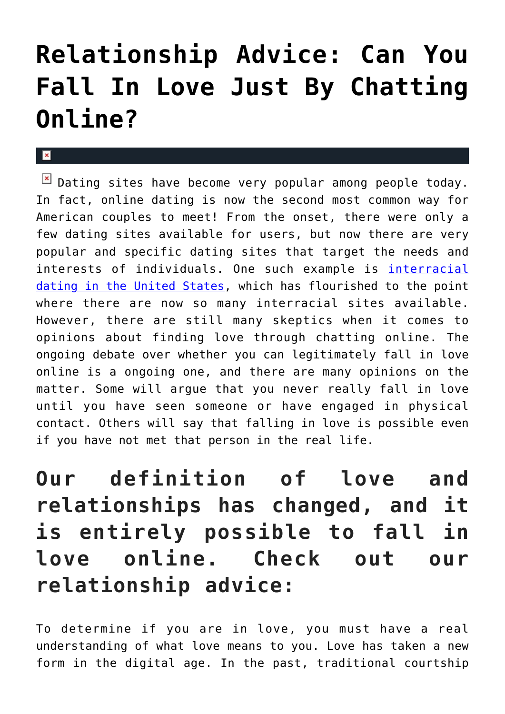# **[Relationship Advice: Can You](https://cupidspulse.com/122625/relationship-advice-fall-love-chatting-online/) [Fall In Love Just By Chatting](https://cupidspulse.com/122625/relationship-advice-fall-love-chatting-online/) [Online?](https://cupidspulse.com/122625/relationship-advice-fall-love-chatting-online/)**

### $\mathbf{x}$

 $\boxed{\times}$  Dating sites have become very popular among people today. In fact, online dating is now the second most common way for American couples to meet! From the onset, there were only a few dating sites available for users, but now there are very popular and specific dating sites that target the needs and interests of individuals. One such example is [interracial](https://www.interracialdating.com/members/United_States/1) [dating in the United States,](https://www.interracialdating.com/members/United_States/1) which has flourished to the point where there are now so many interracial sites available. However, there are still many skeptics when it comes to opinions about finding love through chatting online. The ongoing debate over whether you can legitimately fall in love online is a ongoing one, and there are many opinions on the matter. Some will argue that you never really fall in love until you have seen someone or have engaged in physical contact. Others will say that falling in love is possible even if you have not met that person in the real life.

**Our definition of love and relationships has changed, and it is entirely possible to fall in love online. Check out our relationship advice:**

To determine if you are in love, you must have a real understanding of what love means to you. Love has taken a new form in the digital age. In the past, traditional courtship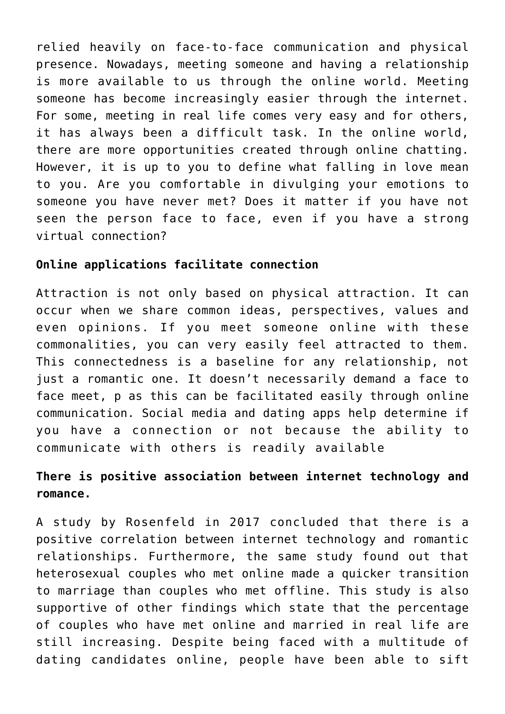relied heavily on face-to-face communication and physical presence. Nowadays, meeting someone and having a relationship is more available to us through the online world. Meeting someone has become increasingly easier through the internet. For some, meeting in real life comes very easy and for others, it has always been a difficult task. In the online world, there are more opportunities created through online chatting. However, it is up to you to define what falling in love mean to you. Are you comfortable in divulging your emotions to someone you have never met? Does it matter if you have not seen the person face to face, even if you have a strong virtual connection?

### **Online applications facilitate connection**

Attraction is not only based on physical attraction. It can occur when we share common ideas, perspectives, values and even opinions. If you meet someone online with these commonalities, you can very easily feel attracted to them. This connectedness is a baseline for any relationship, not just a romantic one. It doesn't necessarily demand a face to face meet, p as this can be facilitated easily through online communication. Social media and dating apps help determine if you have a connection or not because the ability to communicate with others is readily available

## **There is positive association between internet technology and romance.**

A study by Rosenfeld in 2017 concluded that there is a positive correlation between internet technology and romantic relationships. Furthermore, the same study found out that heterosexual couples who met online made a quicker transition to marriage than couples who met offline. This study is also supportive of other findings which state that the percentage of couples who have met online and married in real life are still increasing. Despite being faced with a multitude of dating candidates online, people have been able to sift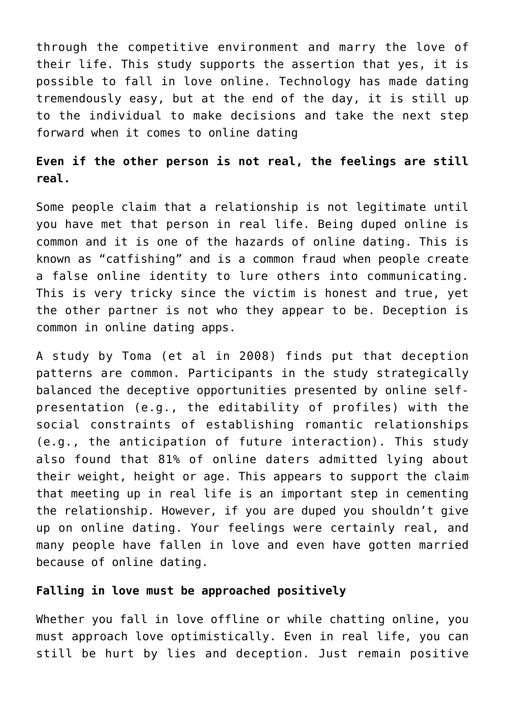through the competitive environment and marry the love of their life. This study supports the assertion that yes, it is possible to fall in love online. Technology has made dating tremendously easy, but at the end of the day, it is still up to the individual to make decisions and take the next step forward when it comes to online dating

## **Even if the other person is not real, the feelings are still real.**

Some people claim that a relationship is not legitimate until you have met that person in real life. Being duped online is common and it is one of the hazards of online dating. This is known as "catfishing" and is a common fraud when people create a false online identity to lure others into communicating. This is very tricky since the victim is honest and true, yet the other partner is not who they appear to be. Deception is common in online dating apps.

A study by Toma (et al in 2008) finds put that deception patterns are common. Participants in the study strategically balanced the deceptive opportunities presented by online selfpresentation (e.g., the editability of profiles) with the social constraints of establishing romantic relationships (e.g., the anticipation of future interaction). This study also found that 81% of online daters admitted lying about their weight, height or age. This appears to support the claim that meeting up in real life is an important step in cementing the relationship. However, if you are duped you shouldn't give up on online dating. Your feelings were certainly real, and many people have fallen in love and even have gotten married because of online dating.

#### **Falling in love must be approached positively**

Whether you fall in love offline or while chatting online, you must approach love optimistically. Even in real life, you can still be hurt by lies and deception. Just remain positive